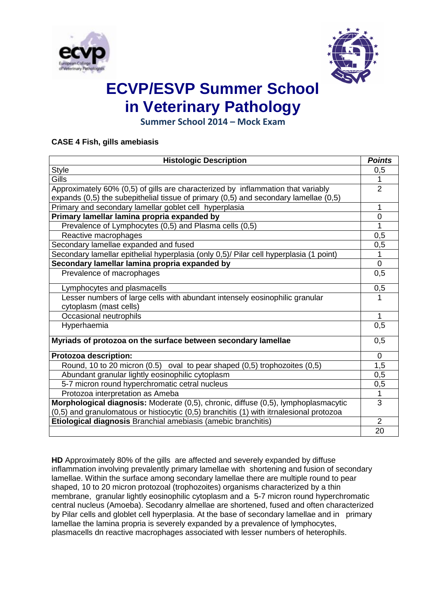



**Summer School 2014 – Mock Exam**

### **CASE 4 Fish, gills amebiasis**

| <b>Histologic Description</b>                                                                         | <b>Points</b>  |
|-------------------------------------------------------------------------------------------------------|----------------|
| <b>Style</b>                                                                                          | 0,5            |
| Gills                                                                                                 | 1              |
| Approximately 60% (0,5) of gills are characterized by inflammation that variably                      | $\overline{2}$ |
| expands $(0,5)$ the subepithelial tissue of primary $(0,5)$ and secondary lamellae $(0,5)$            |                |
| Primary and secondary lamellar goblet cell hyperplasia                                                | 1              |
| Primary lamellar lamina propria expanded by                                                           | $\overline{0}$ |
| Prevalence of Lymphocytes (0,5) and Plasma cells (0,5)                                                | 1              |
| Reactive macrophages                                                                                  | 0,5            |
| Secondary lamellae expanded and fused                                                                 | 0,5            |
| Secondary lamellar epithelial hyperplasia (only 0,5)/ Pilar cell hyperplasia (1 point)                | $\mathbf{1}$   |
| Secondary lamellar lamina propria expanded by                                                         | $\mathbf 0$    |
| Prevalence of macrophages                                                                             | 0,5            |
| Lymphocytes and plasmacells                                                                           | 0,5            |
| Lesser numbers of large cells with abundant intensely eosinophilic granular<br>cytoplasm (mast cells) | 1              |
| Occasional neutrophils                                                                                | 1              |
| Hyperhaemia                                                                                           | 0,5            |
| Myriads of protozoa on the surface between secondary lamellae                                         | 0,5            |
| Protozoa description:                                                                                 | $\mathbf 0$    |
| Round, 10 to 20 micron (0.5) oval to pear shaped (0,5) trophozoites (0,5)                             | 1,5            |
| Abundant granular lightly eosinophilic cytoplasm                                                      | 0,5            |
| 5-7 micron round hyperchromatic cetral nucleus                                                        | 0,5            |
| Protozoa interpretation as Ameba                                                                      | 1              |
| Morphological diagnosis: Moderate (0,5), chronic, diffuse (0,5), lymphoplasmacytic                    | $\overline{3}$ |
| (0,5) and granulomatous or histiocytic (0,5) branchitis (1) with itrnalesional protozoa               |                |
| Etiological diagnosis Branchial amebiasis (amebic branchitis)                                         | $\overline{2}$ |
|                                                                                                       | 20             |

**HD** Approximately 80% of the gills are affected and severely expanded by diffuse inflammation involving prevalently primary lamellae with shortening and fusion of secondary lamellae. Within the surface among secondary lamellae there are multiple round to pear shaped, 10 to 20 micron protozoal (trophozoites) organisms characterized by a thin membrane, granular lightly eosinophilic cytoplasm and a 5-7 micron round hyperchromatic central nucleus (Amoeba). Secodanry almellae are shortened, fused and often characterized by Pilar cells and globlet cell hyperplasia. At the base of secondary lamellae and in primary lamellae the lamina propria is severely expanded by a prevalence of lymphocytes, plasmacells dn reactive macrophages associated with lesser numbers of heterophils.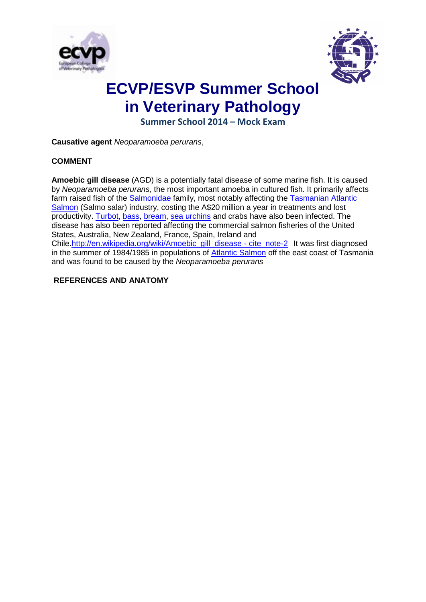



**Summer School 2014 – Mock Exam**

**Causative agent** *Neoparamoeba perurans*,

### **COMMENT**

**Amoebic gill disease** (AGD) is a potentially fatal disease of some marine fish. It is caused by *Neoparamoeba perurans*, the most important amoeba in cultured fish. It primarily affects farm raised fish of the [Salmonidae](http://en.wikipedia.org/wiki/Salmonidae) family, most notably affecting the [Tasmanian](http://en.wikipedia.org/wiki/Tasmanian) Atlantic [Salmon](http://en.wikipedia.org/wiki/Atlantic_Salmon) (Salmo salar) industry, costing the A\$20 million a year in treatments and lost productivity. [Turbot,](http://en.wikipedia.org/wiki/Turbot) [bass,](http://en.wikipedia.org/wiki/Bass_%28fish%29) [bream,](http://en.wikipedia.org/wiki/Common_bream) [sea urchins](http://en.wikipedia.org/wiki/Sea_urchin) and crabs have also been infected. The disease has also been reported affecting the commercial salmon fisheries of the United States, Australia, New Zealand, France, Spain, Ireland and Chile[.http://en.wikipedia.org/wiki/Amoebic\\_gill\\_disease -](http://en.wikipedia.org/wiki/Amoebic_gill_disease#cite_note-2) cite\_note-2 It was first diagnosed in the summer of 1984/1985 in populations of [Atlantic Salmon](http://en.wikipedia.org/wiki/Atlantic_Salmon) off the east coast of Tasmania and was found to be caused by the *Neoparamoeba perurans*

### **REFERENCES AND ANATOMY**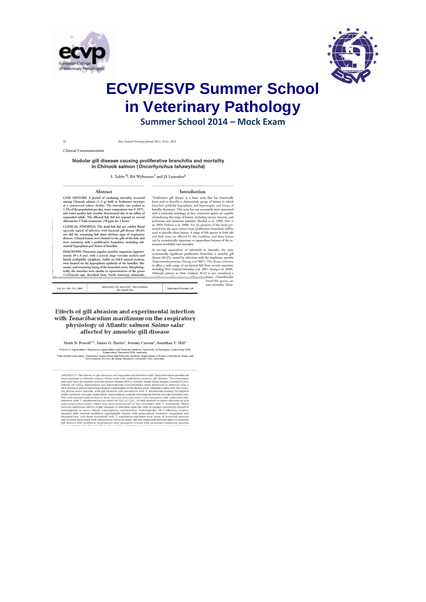



Summer School 2014 - Mock Exam

New Zealand Veterinary Journal 58(1), 59-61, 2010

Clinical Communication

59

#### Nodular gill disease causing proliferative branchitis and mortality in Chinook salmon (Oncorhynchus tshawytscha)

L Tubbs\*§, BA Wybourne† and JS Lumsden<sup>‡</sup>

#### Abstract

#### Introduction

CASE HISTORY: A period of escalating mortality occurred<br>among Chinook salmon  $(1-5 g)$  held in freshwater raceways<br>at a commercial culture facility. The mortality rate peaked at<br>1.5% of the population per day, water temper

cuonamie-1 tout treatments (10 ppm tor 1 nour).<br>CLINICAL FINDINGS: The dead fish did not exhibit flared opercula typical of infection with baserial gill disease (0GD) not did no red in the particular of the particular of

statutaal ryperpasta and tussion or inmetiae.<br>
DIACNOSIS: Numerous angular ameobic organisms (approximately 10 x 8 pm), with a central, large vesicular nucleus and faintly acceleptions (by the proposition) were located on

Vol. 63: 169-174, 2005

**Proliferative gill discrete is a Loose term** that has historically<br>been used to describe a characteristic group of lesions in which branchial epithelial hyperplasia, and hypertrophy and fision of kind anticalization disc

 $\begin{tabular}{ll} \textbf{social matching and mortality} \\ \hline In search, and, and, the most \\ \textbf{e} \textbf{controlally significant performance of samples, and \\ \textbf{d} \textbf{source} \textbf{control} \textbf{C} \textbf{M} \textbf{)} \textbf{C} \textbf{M} \textbf{C} \textbf{M} \textbf{M} \textbf{M} \textbf{M} \textbf{M} \textbf{M} \textbf{M} \textbf{M} \textbf{M} \textbf{M} \textbf{M} \textbf{M} \textbf{M} \textbf{M} \textbf{M} \textbf{M} \textbf{M} \textbf{M} \textbf{M} \textbf$ 

**Published February 28** 

Effects of gill abrasion and experimental infection with Tenacibaculum maritimum on the respiratory physiology of Atlantic salmon Salmo salar affected by amoebic gill disease

**DISEASES OF AQUATIC ORGANISMS**<br>Dis Aguat Org

Mark D. Powell<sup>1,\*</sup>, James O. Harris<sup>1</sup>, Jeremy Carson<sup>2</sup>, Jonathan V. Hill<sup>1</sup>  $\footnotesize\relvert$ School of Aquaculture, Tasmanian Aquaculture and Fisheries Institute, University of Tasmania, Locked Bag 1370, Laurencesion, Tasmania 7250, Australia<br>1981, Institute and Aquaculture and Fisheries Institute, Depar

ABSTRACT: The effects of gill abrasion and experimental infection with Teraccibaculum maritimum were assessed in Alfantic salmon Salmo salar with underlying amoebic gill disease. The respiratory and acid -base parameters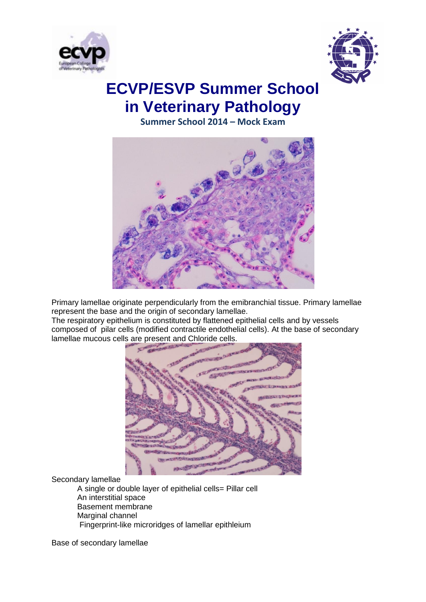



**Summer School 2014 – Mock Exam**



Primary lamellae originate perpendicularly from the emibranchial tissue. Primary lamellae represent the base and the origin of secondary lamellae.

The respiratory epithelium is constituted by flattened epithelial cells and by vessels composed of pilar cells (modified contractile endothelial cells). At the base of secondary lamellae mucous cells are present and Chloride cells.



Secondary lamellae

A single or double layer of epithelial cells= Pillar cell An interstitial space Basement membrane Marginal channel Fingerprint-like microridges of lamellar epithleium

Base of secondary lamellae